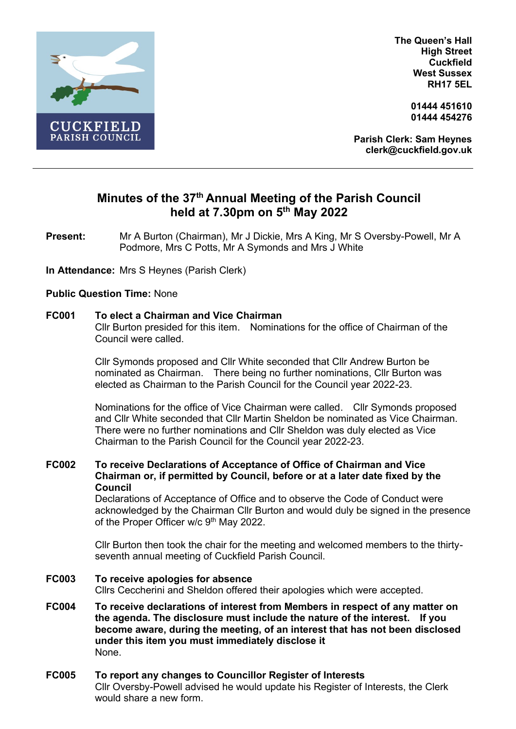

**The Queen's Hall High Street Cuckfield West Sussex RH17 5EL**

> **01444 451610 01444 454276**

**Parish Clerk: Sam Heynes clerk@cuckfield.gov.uk**

# **Minutes of the 37 th Annual Meeting of the Parish Council held at 7.30pm on 5 th May 2022**

**Present:** Mr A Burton (Chairman), Mr J Dickie, Mrs A King, Mr S Oversby-Powell, Mr A Podmore, Mrs C Potts, Mr A Symonds and Mrs J White

**In Attendance:** Mrs S Heynes (Parish Clerk)

# **Public Question Time:** None

#### **FC001 To elect a Chairman and Vice Chairman**

Cllr Burton presided for this item. Nominations for the office of Chairman of the Council were called.

Cllr Symonds proposed and Cllr White seconded that Cllr Andrew Burton be nominated as Chairman. There being no further nominations, Cllr Burton was elected as Chairman to the Parish Council for the Council year 2022-23.

Nominations for the office of Vice Chairman were called. Cllr Symonds proposed and Cllr White seconded that Cllr Martin Sheldon be nominated as Vice Chairman. There were no further nominations and Cllr Sheldon was duly elected as Vice Chairman to the Parish Council for the Council year 2022-23.

**FC002 To receive Declarations of Acceptance of Office of Chairman and Vice Chairman or, if permitted by Council, before or at a later date fixed by the Council**

Declarations of Acceptance of Office and to observe the Code of Conduct were acknowledged by the Chairman Cllr Burton and would duly be signed in the presence of the Proper Officer w/c 9<sup>th</sup> May 2022.

Cllr Burton then took the chair for the meeting and welcomed members to the thirtyseventh annual meeting of Cuckfield Parish Council.

#### **FC003 To receive apologies for absence**

Cllrs Ceccherini and Sheldon offered their apologies which were accepted.

**FC004 To receive declarations of interest from Members in respect of any matter on the agenda. The disclosure must include the nature of the interest. If you become aware, during the meeting, of an interest that has not been disclosed under this item you must immediately disclose it** None.

#### **FC005 To report any changes to Councillor Register of Interests**

Cllr Oversby-Powell advised he would update his Register of Interests, the Clerk would share a new form.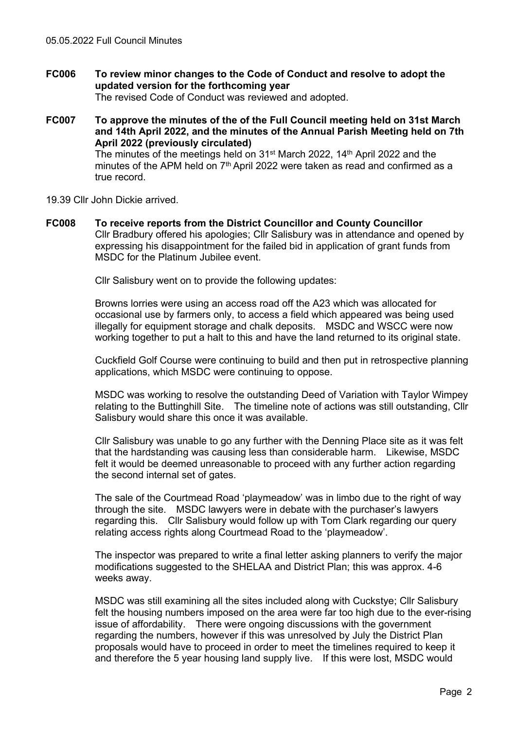**FC006 To review minor changes to the Code of Conduct and resolve to adopt the updated version for the forthcoming year**  The revised Code of Conduct was reviewed and adopted.

**FC007 To approve the minutes of the of the Full Council meeting held on 31st March and 14th April 2022, and the minutes of the Annual Parish Meeting held on 7th April 2022 (previously circulated)** The minutes of the meetings held on 31st March 2022, 14th April 2022 and the minutes of the APM held on 7<sup>th</sup> April 2022 were taken as read and confirmed as a true record.

- 19.39 Cllr John Dickie arrived.
- **FC008 To receive reports from the District Councillor and County Councillor** Cllr Bradbury offered his apologies; Cllr Salisbury was in attendance and opened by expressing his disappointment for the failed bid in application of grant funds from MSDC for the Platinum Jubilee event.

Cllr Salisbury went on to provide the following updates:

Browns lorries were using an access road off the A23 which was allocated for occasional use by farmers only, to access a field which appeared was being used illegally for equipment storage and chalk deposits. MSDC and WSCC were now working together to put a halt to this and have the land returned to its original state.

Cuckfield Golf Course were continuing to build and then put in retrospective planning applications, which MSDC were continuing to oppose.

MSDC was working to resolve the outstanding Deed of Variation with Taylor Wimpey relating to the Buttinghill Site. The timeline note of actions was still outstanding, Cllr Salisbury would share this once it was available.

Cllr Salisbury was unable to go any further with the Denning Place site as it was felt that the hardstanding was causing less than considerable harm. Likewise, MSDC felt it would be deemed unreasonable to proceed with any further action regarding the second internal set of gates.

The sale of the Courtmead Road 'playmeadow' was in limbo due to the right of way through the site. MSDC lawyers were in debate with the purchaser's lawyers regarding this. Cllr Salisbury would follow up with Tom Clark regarding our query relating access rights along Courtmead Road to the 'playmeadow'.

The inspector was prepared to write a final letter asking planners to verify the major modifications suggested to the SHELAA and District Plan; this was approx. 4-6 weeks away.

MSDC was still examining all the sites included along with Cuckstye; Cllr Salisbury felt the housing numbers imposed on the area were far too high due to the ever-rising issue of affordability. There were ongoing discussions with the government regarding the numbers, however if this was unresolved by July the District Plan proposals would have to proceed in order to meet the timelines required to keep it and therefore the 5 year housing land supply live. If this were lost, MSDC would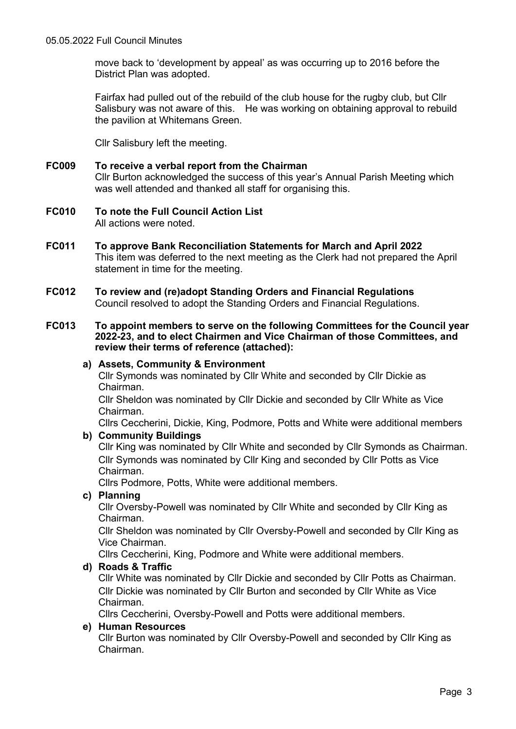move back to 'development by appeal' as was occurring up to 2016 before the District Plan was adopted.

Fairfax had pulled out of the rebuild of the club house for the rugby club, but Cllr Salisbury was not aware of this. He was working on obtaining approval to rebuild the pavilion at Whitemans Green.

Cllr Salisbury left the meeting.

- **FC009 To receive a verbal report from the Chairman** Cllr Burton acknowledged the success of this year's Annual Parish Meeting which was well attended and thanked all staff for organising this.
- **FC010 To note the Full Council Action List** All actions were noted.
- **FC011 To approve Bank Reconciliation Statements for March and April 2022** This item was deferred to the next meeting as the Clerk had not prepared the April statement in time for the meeting.
- **FC012 To review and (re)adopt Standing Orders and Financial Regulations** Council resolved to adopt the Standing Orders and Financial Regulations.
- **FC013 To appoint members to serve on the following Committees for the Council year 2022-23, and to elect Chairmen and Vice Chairman of those Committees, and review their terms of reference (attached):**
	- **a) Assets, Community & Environment**

Cllr Symonds was nominated by Cllr White and seconded by Cllr Dickie as Chairman.

Cllr Sheldon was nominated by Cllr Dickie and seconded by Cllr White as Vice Chairman.

Cllrs Ceccherini, Dickie, King, Podmore, Potts and White were additional members **b) Community Buildings**

Cllr King was nominated by Cllr White and seconded by Cllr Symonds as Chairman. Cllr Symonds was nominated by Cllr King and seconded by Cllr Potts as Vice Chairman.

Cllrs Podmore, Potts, White were additional members.

**c) Planning**

Cllr Oversby-Powell was nominated by Cllr White and seconded by Cllr King as Chairman.

Cllr Sheldon was nominated by Cllr Oversby-Powell and seconded by Cllr King as Vice Chairman.

Cllrs Ceccherini, King, Podmore and White were additional members.

# **d) Roads & Traffic**

Cllr White was nominated by Cllr Dickie and seconded by Cllr Potts as Chairman. Cllr Dickie was nominated by Cllr Burton and seconded by Cllr White as Vice Chairman.

Cllrs Ceccherini, Oversby-Powell and Potts were additional members.

# **e) Human Resources**

Cllr Burton was nominated by Cllr Oversby-Powell and seconded by Cllr King as Chairman.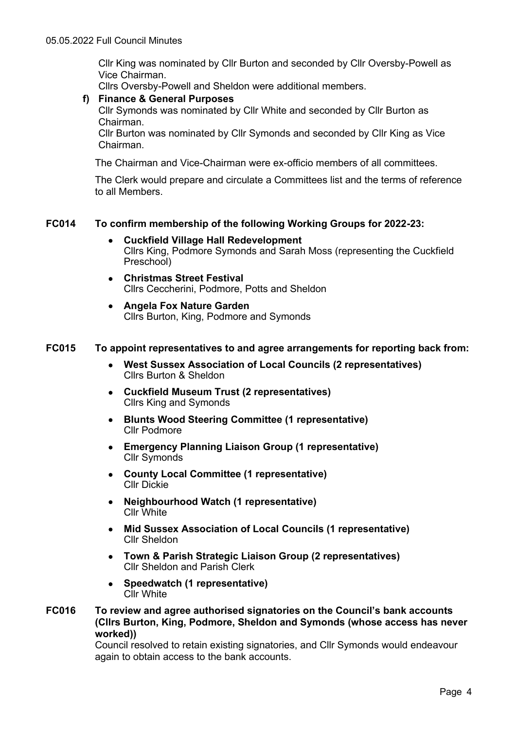Cllr King was nominated by Cllr Burton and seconded by Cllr Oversby-Powell as Vice Chairman.

Cllrs Oversby-Powell and Sheldon were additional members.

# **f) Finance & General Purposes**

Cllr Symonds was nominated by Cllr White and seconded by Cllr Burton as Chairman.

Cllr Burton was nominated by Cllr Symonds and seconded by Cllr King as Vice Chairman.

The Chairman and Vice-Chairman were ex-officio members of all committees.

The Clerk would prepare and circulate a Committees list and the terms of reference to all Members.

# **FC014 To confirm membership of the following Working Groups for 2022-23:**

- **Cuckfield Village Hall Redevelopment** Cllrs King, Podmore Symonds and Sarah Moss (representing the Cuckfield Preschool)
- **Christmas Street Festival** Cllrs Ceccherini, Podmore, Potts and Sheldon
- **Angela Fox Nature Garden** Cllrs Burton, King, Podmore and Symonds

# **FC015 To appoint representatives to and agree arrangements for reporting back from:**

- **West Sussex Association of Local Councils (2 representatives)** Cllrs Burton & Sheldon
- **Cuckfield Museum Trust (2 representatives)** Cllrs King and Symonds
- **Blunts Wood Steering Committee (1 representative)** Cllr Podmore
- **Emergency Planning Liaison Group (1 representative)** Cllr Symonds
- **County Local Committee (1 representative)** Cllr Dickie
- **Neighbourhood Watch (1 representative)** Cllr White
- **Mid Sussex Association of Local Councils (1 representative)** Cllr Sheldon
- **Town & Parish Strategic Liaison Group (2 representatives)** Cllr Sheldon and Parish Clerk
- **Speedwatch (1 representative)** Cllr White
- **FC016 To review and agree authorised signatories on the Council's bank accounts (Cllrs Burton, King, Podmore, Sheldon and Symonds (whose access has never worked))**

Council resolved to retain existing signatories, and Cllr Symonds would endeavour again to obtain access to the bank accounts.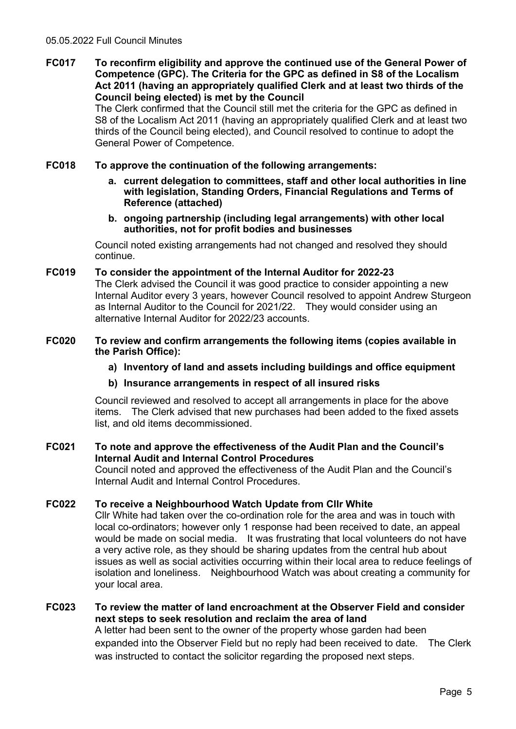**FC017 To reconfirm eligibility and approve the continued use of the General Power of Competence (GPC). The Criteria for the GPC as defined in S8 of the Localism Act 2011 (having an appropriately qualified Clerk and at least two thirds of the Council being elected) is met by the Council**

The Clerk confirmed that the Council still met the criteria for the GPC as defined in S8 of the Localism Act 2011 (having an appropriately qualified Clerk and at least two thirds of the Council being elected), and Council resolved to continue to adopt the General Power of Competence.

# **FC018 To approve the continuation of the following arrangements:**

- **a. current delegation to committees, staff and other local authorities in line with legislation, Standing Orders, Financial Regulations and Terms of Reference (attached)**
- **b. ongoing partnership (including legal arrangements) with other local authorities, not for profit bodies and businesses**

Council noted existing arrangements had not changed and resolved they should continue.

#### **FC019 To consider the appointment of the Internal Auditor for 2022-23**

The Clerk advised the Council it was good practice to consider appointing a new Internal Auditor every 3 years, however Council resolved to appoint Andrew Sturgeon as Internal Auditor to the Council for 2021/22. They would consider using an alternative Internal Auditor for 2022/23 accounts.

#### **FC020 To review and confirm arrangements the following items (copies available in the Parish Office):**

# **a) Inventory of land and assets including buildings and office equipment**

# **b) Insurance arrangements in respect of all insured risks**

Council reviewed and resolved to accept all arrangements in place for the above items. The Clerk advised that new purchases had been added to the fixed assets list, and old items decommissioned.

# **FC021 To note and approve the effectiveness of the Audit Plan and the Council's Internal Audit and Internal Control Procedures**

Council noted and approved the effectiveness of the Audit Plan and the Council's Internal Audit and Internal Control Procedures.

# **FC022 To receive a Neighbourhood Watch Update from Cllr White**

Cllr White had taken over the co-ordination role for the area and was in touch with local co-ordinators; however only 1 response had been received to date, an appeal would be made on social media. It was frustrating that local volunteers do not have a very active role, as they should be sharing updates from the central hub about issues as well as social activities occurring within their local area to reduce feelings of isolation and loneliness. Neighbourhood Watch was about creating a community for your local area.

# **FC023 To review the matter of land encroachment at the Observer Field and consider next steps to seek resolution and reclaim the area of land** A letter had been sent to the owner of the property whose garden had been expanded into the Observer Field but no reply had been received to date. The Clerk was instructed to contact the solicitor regarding the proposed next steps.